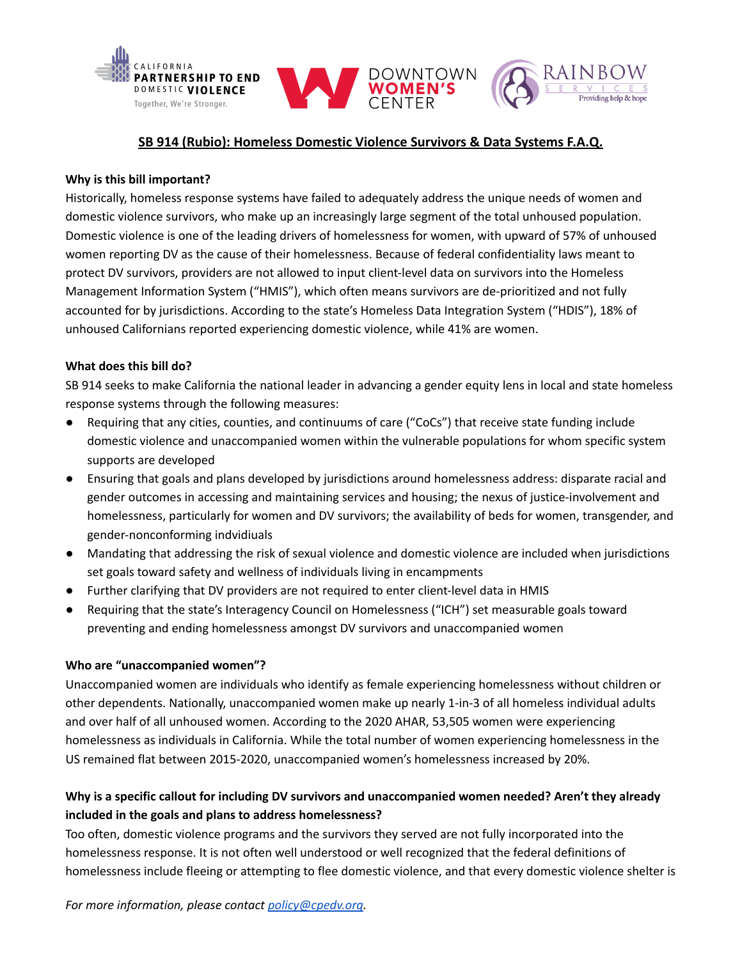

# **SB 914 (Rubio): Homeless Domestic Violence Survivors & Data Systems F.A.Q.**

#### **Why is this bill important?**

Historically, homeless response systems have failed to adequately address the unique needs of women and domestic violence survivors, who make up an increasingly large segment of the total unhoused population. Domestic violence is one of the leading drivers of homelessness for women, with upward of 57% of unhoused women reporting DV as the cause of their homelessness. Because of federal confidentiality laws meant to protect DV survivors, providers are not allowed to input client-level data on survivors into the Homeless Management Information System ("HMIS"), which often means survivors are de-prioritized and not fully accounted for by jurisdictions. According to the state's Homeless Data Integration System ("HDIS"), 18% of unhoused Californians reported experiencing domestic violence, while 41% are women.

# **What does this bill do?**

SB 914 seeks to make California the national leader in advancing a gender equity lens in local and state homeless response systems through the following measures:

- Requiring that any cities, counties, and continuums of care ("CoCs") that receive state funding include domestic violence and unaccompanied women within the vulnerable populations for whom specific system supports are developed
- Ensuring that goals and plans developed by jurisdictions around homelessness address: disparate racial and gender outcomes in accessing and maintaining services and housing; the nexus of justice-involvement and homelessness, particularly for women and DV survivors; the availability of beds for women, transgender, and gender-nonconforming indvidiuals
- Mandating that addressing the risk of sexual violence and domestic violence are included when jurisdictions set goals toward safety and wellness of individuals living in encampments
- Further clarifying that DV providers are not required to enter client-level data in HMIS
- Requiring that the state's Interagency Council on Homelessness ("ICH") set measurable goals toward preventing and ending homelessness amongst DV survivors and unaccompanied women

#### **Who are "unaccompanied women"?**

Unaccompanied women are individuals who identify as female experiencing homelessness without children or other dependents. Nationally, unaccompanied women make up nearly 1-in-3 of all homeless individual adults and over half of all unhoused women. According to the 2020 AHAR, 53,505 women were experiencing homelessness as individuals in California. While the total number of women experiencing homelessness in the US remained flat between 2015-2020, unaccompanied women's homelessness increased by 20%.

# **Why is a specific callout for including DV survivors and unaccompanied women needed? Aren't they already included in the goals and plans to address homelessness?**

Too often, domestic violence programs and the survivors they served are not fully incorporated into the homelessness response. It is not often well understood or well recognized that the federal definitions of homelessness include fleeing or attempting to flee domestic violence, and that every domestic violence shelter is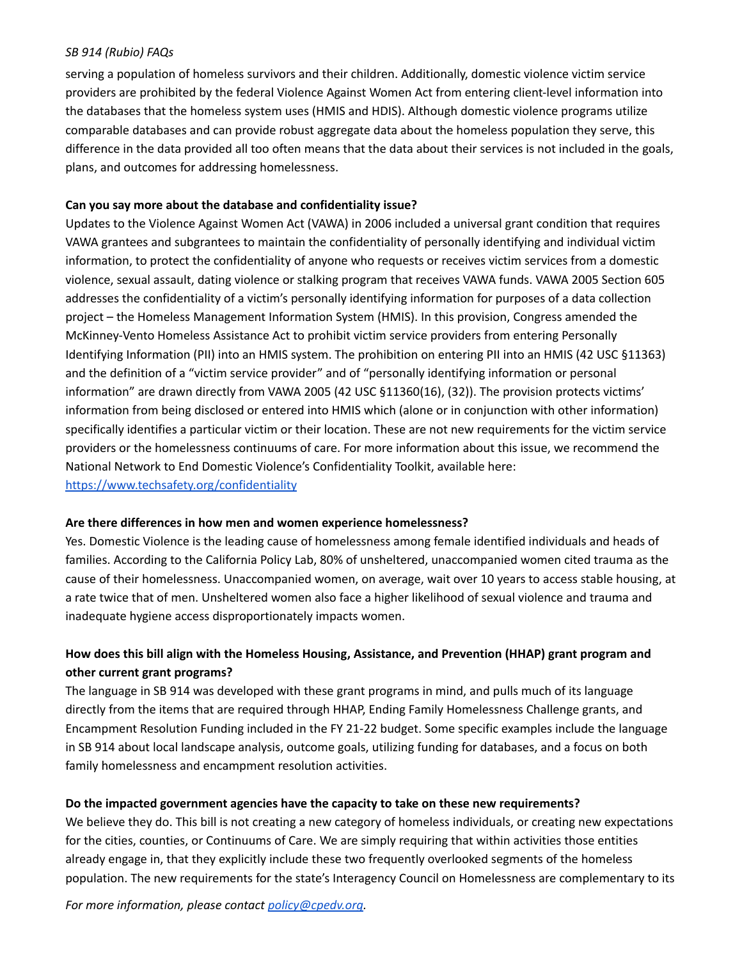### *SB 914 (Rubio) FAQs*

serving a population of homeless survivors and their children. Additionally, domestic violence victim service providers are prohibited by the federal Violence Against Women Act from entering client-level information into the databases that the homeless system uses (HMIS and HDIS). Although domestic violence programs utilize comparable databases and can provide robust aggregate data about the homeless population they serve, this difference in the data provided all too often means that the data about their services is not included in the goals, plans, and outcomes for addressing homelessness.

# **Can you say more about the database and confidentiality issue?**

Updates to the Violence Against Women Act (VAWA) in 2006 included a universal grant condition that requires VAWA grantees and subgrantees to maintain the confidentiality of personally identifying and individual victim information, to protect the confidentiality of anyone who requests or receives victim services from a domestic violence, sexual assault, dating violence or stalking program that receives VAWA funds. VAWA 2005 Section 605 addresses the confidentiality of a victim's personally identifying information for purposes of a data collection project – the Homeless Management Information System (HMIS). In this provision, Congress amended the McKinney-Vento Homeless Assistance Act to prohibit victim service providers from entering Personally Identifying Information (PII) into an HMIS system. The prohibition on entering PII into an HMIS (42 USC §11363) and the definition of a "victim service provider" and of "personally identifying information or personal information" are drawn directly from VAWA 2005 (42 USC §11360(16), (32)). The provision protects victims' information from being disclosed or entered into HMIS which (alone or in conjunction with other information) specifically identifies a particular victim or their location. These are not new requirements for the victim service providers or the homelessness continuums of care. For more information about this issue, we recommend the National Network to End Domestic Violence's Confidentiality Toolkit, available here: <https://www.techsafety.org/confidentiality>

#### **Are there differences in how men and women experience homelessness?**

Yes. Domestic Violence is the leading cause of homelessness among female identified individuals and heads of families. According to the California Policy Lab, 80% of unsheltered, unaccompanied women cited trauma as the cause of their homelessness. Unaccompanied women, on average, wait over 10 years to access stable housing, at a rate twice that of men. Unsheltered women also face a higher likelihood of sexual violence and trauma and inadequate hygiene access disproportionately impacts women.

# **How does this bill align with the Homeless Housing, Assistance, and Prevention (HHAP) grant program and other current grant programs?**

The language in SB 914 was developed with these grant programs in mind, and pulls much of its language directly from the items that are required through HHAP, Ending Family Homelessness Challenge grants, and Encampment Resolution Funding included in the FY 21-22 budget. Some specific examples include the language in SB 914 about local landscape analysis, outcome goals, utilizing funding for databases, and a focus on both family homelessness and encampment resolution activities.

# **Do the impacted government agencies have the capacity to take on these new requirements?**

We believe they do. This bill is not creating a new category of homeless individuals, or creating new expectations for the cities, counties, or Continuums of Care. We are simply requiring that within activities those entities already engage in, that they explicitly include these two frequently overlooked segments of the homeless population. The new requirements for the state's Interagency Council on Homelessness are complementary to its

*For more information, please contact [policy@cpedv.org.](mailto:policy@cpedv.org)*